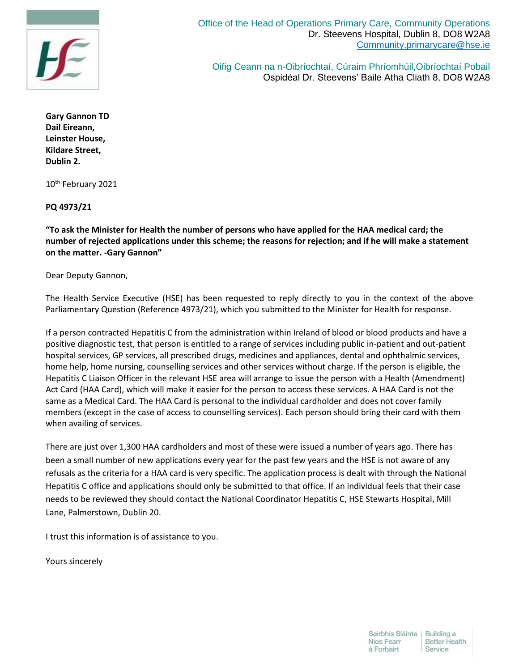

Office of the Head of Operations Primary Care, Community Operations Dr. Steevens Hospital, Dublin 8, DO8 W2A8 [Community.primarycare@hse.ie](file://///pndcfprdfs001.healthirl.net/NPCDO$/Admin/Admin/Community.primarycare@hse.ie)

Oifig Ceann na n-Oibríochtaí, Cúraim Phríomhúil,Oibríochtaí Pobail Ospidéal Dr. Steevens' Baile Atha Cliath 8, DO8 W2A8

**Gary Gannon TD Dail Eireann, Leinster House, Kildare Street, Dublin 2.**

10th February 2021

## **PQ 4973/21**

**"To ask the Minister for Health the number of persons who have applied for the HAA medical card; the number of rejected applications under this scheme; the reasons for rejection; and if he will make a statement on the matter. -Gary Gannon"**

Dear Deputy Gannon,

The Health Service Executive (HSE) has been requested to reply directly to you in the context of the above Parliamentary Question (Reference 4973/21), which you submitted to the Minister for Health for response.

If a person contracted Hepatitis C from the administration within Ireland of blood or blood products and have a positive diagnostic test, that person is entitled to a range of services including public in-patient and out-patient hospital services, GP services, all prescribed drugs, medicines and appliances, dental and ophthalmic services, home help, home nursing, counselling services and other services without charge. If the person is eligible, the Hepatitis C Liaison Officer in the relevant HSE area will arrange to issue the person with a Health (Amendment) Act Card (HAA Card), which will make it easier for the person to access these services. A HAA Card is not the same as a Medical Card. The HAA Card is personal to the individual cardholder and does not cover family members (except in the case of access to counselling services). Each person should bring their card with them when availing of services.

There are just over 1,300 HAA cardholders and most of these were issued a number of years ago. There has been a small number of new applications every year for the past few years and the HSE is not aware of any refusals as the criteria for a HAA card is very specific. The application process is dealt with through the National Hepatitis C office and applications should only be submitted to that office. If an individual feels that their case needs to be reviewed they should contact the National Coordinator Hepatitis C, HSE Stewarts Hospital, Mill Lane, Palmerstown, Dublin 20.

I trust this information is of assistance to you.

Yours sincerely